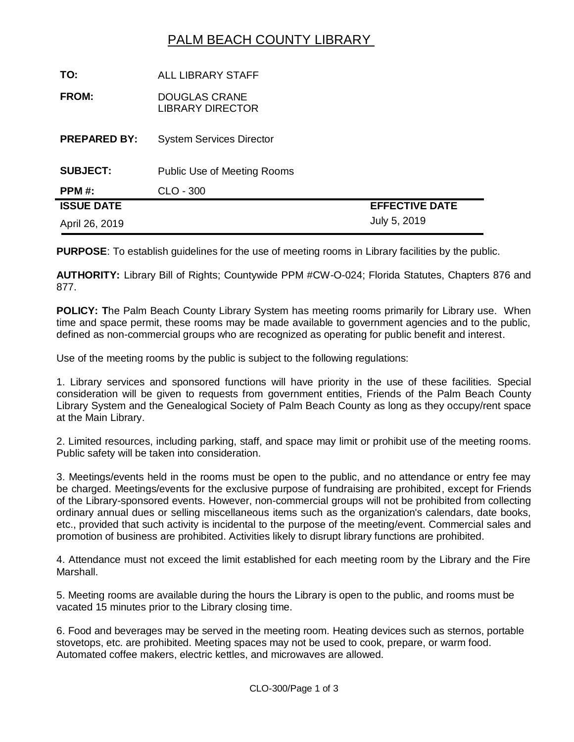## PALM BEACH COUNTY LIBRARY

| TO:                 | <b>ALL LIBRARY STAFF</b>                        |                       |
|---------------------|-------------------------------------------------|-----------------------|
| <b>FROM:</b>        | <b>DOUGLAS CRANE</b><br><b>LIBRARY DIRECTOR</b> |                       |
| <b>PREPARED BY:</b> | <b>System Services Director</b>                 |                       |
| <b>SUBJECT:</b>     | <b>Public Use of Meeting Rooms</b>              |                       |
| PPM #:              | CLO - 300                                       |                       |
| <b>ISSUE DATE</b>   |                                                 | <b>EFFECTIVE DATE</b> |
| April 26, 2019      |                                                 | July 5, 2019          |

**PURPOSE**: To establish guidelines for the use of meeting rooms in Library facilities by the public.

**AUTHORITY:** Library Bill of Rights; Countywide PPM #CW-O-024; Florida Statutes, Chapters 876 and 877.

**POLICY: T**he Palm Beach County Library System has meeting rooms primarily for Library use. When time and space permit, these rooms may be made available to government agencies and to the public, defined as non-commercial groups who are recognized as operating for public benefit and interest.

Use of the meeting rooms by the public is subject to the following regulations:

1. Library services and sponsored functions will have priority in the use of these facilities. Special consideration will be given to requests from government entities, Friends of the Palm Beach County Library System and the Genealogical Society of Palm Beach County as long as they occupy/rent space at the Main Library.

2. Limited resources, including parking, staff, and space may limit or prohibit use of the meeting rooms. Public safety will be taken into consideration.

3. Meetings/events held in the rooms must be open to the public, and no attendance or entry fee may be charged. Meetings/events for the exclusive purpose of fundraising are prohibited, except for Friends of the Library-sponsored events. However, non-commercial groups will not be prohibited from collecting ordinary annual dues or selling miscellaneous items such as the organization's calendars, date books, etc., provided that such activity is incidental to the purpose of the meeting/event. Commercial sales and promotion of business are prohibited. Activities likely to disrupt library functions are prohibited.

4. Attendance must not exceed the limit established for each meeting room by the Library and the Fire Marshall.

5. Meeting rooms are available during the hours the Library is open to the public, and rooms must be vacated 15 minutes prior to the Library closing time.

6. Food and beverages may be served in the meeting room. Heating devices such as sternos, portable stovetops, etc. are prohibited. Meeting spaces may not be used to cook, prepare, or warm food. Automated coffee makers, electric kettles, and microwaves are allowed.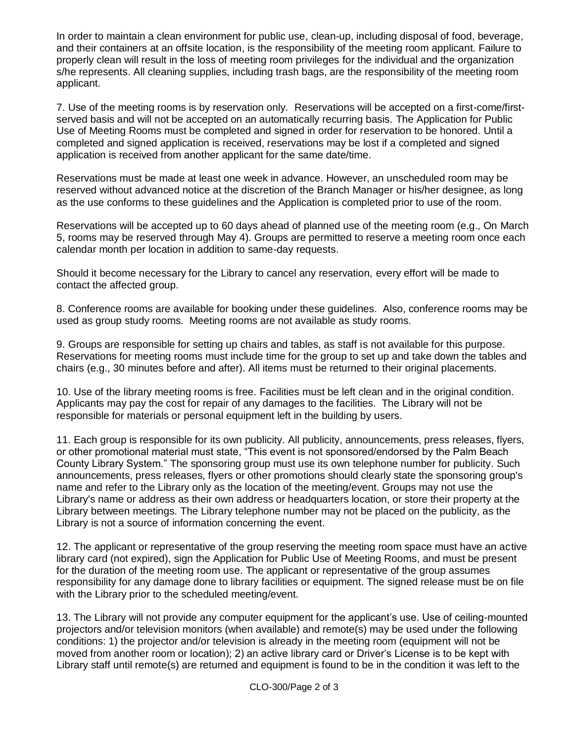In order to maintain a clean environment for public use, clean-up, including disposal of food, beverage, and their containers at an offsite location, is the responsibility of the meeting room applicant. Failure to properly clean will result in the loss of meeting room privileges for the individual and the organization s/he represents. All cleaning supplies, including trash bags, are the responsibility of the meeting room applicant.

7. Use of the meeting rooms is by reservation only. Reservations will be accepted on a first-come/firstserved basis and will not be accepted on an automatically recurring basis. The Application for Public Use of Meeting Rooms must be completed and signed in order for reservation to be honored. Until a completed and signed application is received, reservations may be lost if a completed and signed application is received from another applicant for the same date/time.

Reservations must be made at least one week in advance. However, an unscheduled room may be reserved without advanced notice at the discretion of the Branch Manager or his/her designee, as long as the use conforms to these guidelines and the Application is completed prior to use of the room.

Reservations will be accepted up to 60 days ahead of planned use of the meeting room (e.g., On March 5, rooms may be reserved through May 4). Groups are permitted to reserve a meeting room once each calendar month per location in addition to same-day requests.

Should it become necessary for the Library to cancel any reservation, every effort will be made to contact the affected group.

8. Conference rooms are available for booking under these guidelines. Also, conference rooms may be used as group study rooms. Meeting rooms are not available as study rooms.

9. Groups are responsible for setting up chairs and tables, as staff is not available for this purpose. Reservations for meeting rooms must include time for the group to set up and take down the tables and chairs (e.g., 30 minutes before and after). All items must be returned to their original placements.

10. Use of the library meeting rooms is free. Facilities must be left clean and in the original condition. Applicants may pay the cost for repair of any damages to the facilities. The Library will not be responsible for materials or personal equipment left in the building by users.

11. Each group is responsible for its own publicity. All publicity, announcements, press releases, flyers, or other promotional material must state, "This event is not sponsored/endorsed by the Palm Beach County Library System." The sponsoring group must use its own telephone number for publicity. Such announcements, press releases, flyers or other promotions should clearly state the sponsoring group's name and refer to the Library only as the location of the meeting/event. Groups may not use the Library's name or address as their own address or headquarters location, or store their property at the Library between meetings. The Library telephone number may not be placed on the publicity, as the Library is not a source of information concerning the event.

12. The applicant or representative of the group reserving the meeting room space must have an active library card (not expired), sign the Application for Public Use of Meeting Rooms, and must be present for the duration of the meeting room use. The applicant or representative of the group assumes responsibility for any damage done to library facilities or equipment. The signed release must be on file with the Library prior to the scheduled meeting/event.

13. The Library will not provide any computer equipment for the applicant's use. Use of ceiling-mounted projectors and/or television monitors (when available) and remote(s) may be used under the following conditions: 1) the projector and/or television is already in the meeting room (equipment will not be moved from another room or location); 2) an active library card or Driver's License is to be kept with Library staff until remote(s) are returned and equipment is found to be in the condition it was left to the